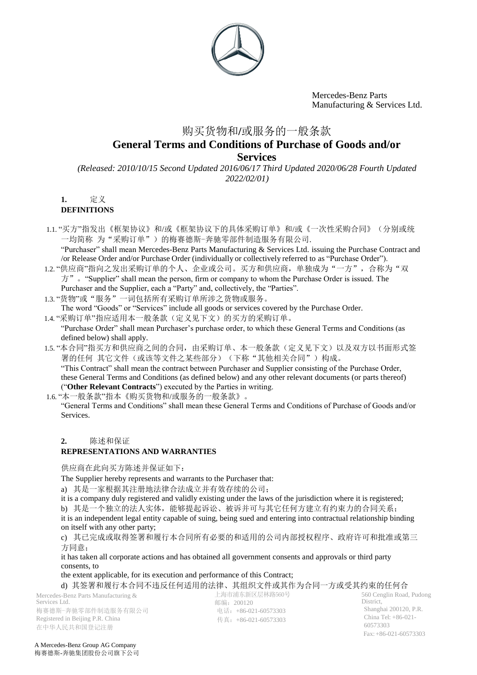

# 购买货物和**/**或服务的一般条款 **General Terms and Conditions of Purchase of Goods and/or Services**

*(Released: 2010/10/15 Second Updated 2016/06/17 Third Updated 2020/06/28 Fourth Updated 2022/02/01)*

**1.** 定义

#### **DEFINITIONS**

1.1. "买方"指发出《框架协议》和/或《框架协议下的具体采购订单》和/或《一次性采购合同》(分别或统 一均简称 为"采购订单")的梅赛德斯-奔驰零部件制造服务有限公司.

"Purchaser" shall mean Mercedes-Benz Parts Manufacturing & Services Ltd. issuing the Purchase Contract and /or Release Order and/or Purchase Order (individually or collectively referred to as "Purchase Order").

- 1.2. "供应商"指向之发出采购订单的个人、企业或公司。买方和供应商,单独成为"一方",合称为"双  $\overline{\pi}$ "  $\overline{S}$  "Supplier" shall mean the person, firm or company to whom the Purchase Order is issued. The Purchaser and the Supplier, each a "Party" and, collectively, the "Parties".
- 1.3. "货物"或"服务"一词包括所有采购订单所涉之货物或服务。
- The word "Goods" or "Services" include all goods or services covered by the Purchase Order.
- 1.4. "采购订单"指应适用本一般条款(定义见下文)的买方的采购订单。 "Purchase Order" shall mean Purchaser's purchase order, to which these General Terms and Conditions (as defined below) shall apply.
- 1.5. "本合同"指买方和供应商之间的合同,由采购订单、本一般条款(定义见下文)以及双方以书面形式签 署的任何 其它文件(或该等文件之某些部分)(下称"其他相关合同")构成。 "This Contract" shall mean the contract between Purchaser and Supplier consisting of the Purchase Order, these General Terms and Conditions (as defined below) and any other relevant documents (or parts thereof) ("**Other Relevant Contracts**") executed by the Parties in writing.
- 1.6. "本一般条款"指本《购买货物和/或服务的一般条款》。

"General Terms and Conditions" shall mean these General Terms and Conditions of Purchase of Goods and/or Services.

#### **2.** 陈述和保证

## **REPRESENTATIONS AND WARRANTIES**

供应商在此向买方陈述并保证如下:

The Supplier hereby represents and warrants to the Purchaser that:

a) 其是一家根据其注册地法律合法成立并有效存续的公司;

it is a company duly registered and validly existing under the laws of the jurisdiction where it is registered;

b) 其是一个独立的法人实体,能够提起诉讼、被诉并可与其它任何方建立有约束力的合同关系;

it is an independent legal entity capable of suing, being sued and entering into contractual relationship binding on itself with any other party;

c) 其已完成或取得签署和履行本合同所有必要的和适用的公司内部授权程序、政府许可和批准或第三 方同意;

it has taken all corporate actions and has obtained all government consents and approvals or third party consents, to

the extent applicable, for its execution and performance of this Contract;

d) 其签署和履行本合同不违反任何适用的法律、其组织文件或其作为合同一方或受其约束的任何合

Mercedes-Benz Parts Manufacturing & Services Ltd. 梅赛德斯-奔驰零部件制造服务有限公司 Registered in Beijing P.R. China 在中华人民共和国登记注册

上海市浦东新区层林路560号 邮编:200120 电话:+86-021-60573303 传真:+86-021-60573303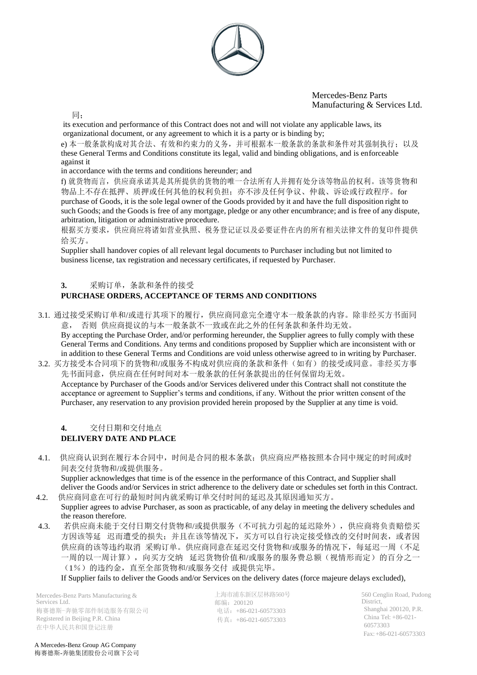

同;

its execution and performance of this Contract does not and will not violate any applicable laws, its organizational document, or any agreement to which it is a party or is binding by;

e) 本一般条款构成对其合法、有效和约束力的义务,并可根据本一般条款的条款和条件对其强制执行; 以及 these General Terms and Conditions constitute its legal, valid and binding obligations, and is enforceable against it

in accordance with the terms and conditions hereunder; and

f) 就货物而言,供应商承诺其是其所提供的货物的唯一合法所有人并拥有处分该等物品的权利。该等货物和 物品上不存在抵押、质押或任何其他的权利负担;亦不涉及任何争议、仲裁、诉讼或行政程序。for purchase of Goods, it is the sole legal owner of the Goods provided by it and have the full disposition right to such Goods; and the Goods is free of any mortgage, pledge or any other encumbrance; and is free of any dispute, arbitration, litigation or administrative procedure.

根据买方要求,供应商应将诸如营业执照、税务登记证以及必要证件在内的所有相关法律文件的复印件提供 给买方。

Supplier shall handover copies of all relevant legal documents to Purchaser including but not limited to business license, tax registration and necessary certificates, if requested by Purchaser.

## **3.** 采购订单,条款和条件的接受

## **PURCHASE ORDERS, ACCEPTANCE OF TERMS AND CONDITIONS**

3.1. 通过接受采购订单和/或进行其项下的履行,供应商同意完全遵守本一般条款的内容。除非经买方书面同 意, 否则 供应商提议的与本一般条款不一致或在此之外的任何条款和条件均无效。

By accepting the Purchase Order, and/or performing hereunder, the Supplier agrees to fully comply with these General Terms and Conditions. Any terms and conditions proposed by Supplier which are inconsistent with or in addition to these General Terms and Conditions are void unless otherwise agreed to in writing by Purchaser.

3.2. 买方接受本合同项下的货物和/或服务不构成对供应商的条款和条件(如有)的接受或同意。非经买方事 先书面同意,供应商在任何时间对本一般条款的任何条款提出的任何保留均无效。 Acceptance by Purchaser of the Goods and/or Services delivered under this Contract shall not constitute the acceptance or agreement to Supplier's terms and conditions, if any. Without the prior written consent of the Purchaser, any reservation to any provision provided herein proposed by the Supplier at any time is void.

## **4.** 交付日期和交付地点 **DELIVERY DATE AND PLACE**

4.1. 供应商认识到在履行本合同中,时间是合同的根本条款;供应商应严格按照本合同中规定的时间或时 间表交付货物和/或提供服务。

Supplier acknowledges that time is of the essence in the performance of this Contract, and Supplier shall deliver the Goods and/or Services in strict adherence to the delivery date or schedules set forth in this Contract. 4.2. 供应商同意在可行的最短时间内就采购订单交付时间的延迟及其原因通知买方。

- Supplier agrees to advise Purchaser, as soon as practicable, of any delay in meeting the delivery schedules and the reason therefore.
- 4.3. 若供应商未能于交付日期交付货物和/或提供服务(不可抗力引起的延迟除外),供应商将负责赔偿买 方因该等延 迟而遭受的损失;并且在该等情况下,买方可以自行决定接受修改的交付时间表,或者因 供应商的该等违约取消 采购订单。供应商同意在延迟交付货物和/或服务的情况下,每延迟一周(不足 一周的以一周计算),向买方交纳 延迟货物价值和/或服务的服务费总额(视情形而定)的百分之一 (1%)的违约金,直至全部货物和/或服务交付 或提供完毕。

If Supplier fails to deliver the Goods and/or Services on the delivery dates (force majeure delays excluded),

Mercedes-Benz Parts Manufacturing & Services Ltd. 梅赛德斯-奔驰零部件制造服务有限公司 Registered in Beijing P.R. China 在中华人民共和国登记注册

上海市浦东新区层林路560号 邮编:200120 电话:+86-021-60573303 传真:+86-021-60573303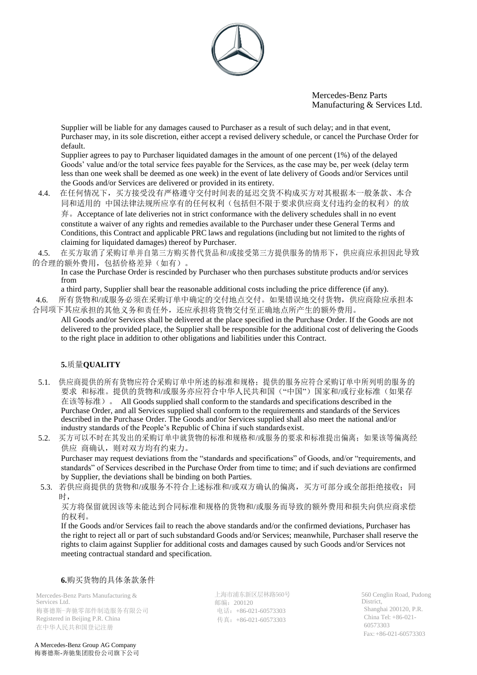

Supplier will be liable for any damages caused to Purchaser as a result of such delay; and in that event, Purchaser may, in its sole discretion, either accept a revised delivery schedule, or cancel the Purchase Order for default.

Supplier agrees to pay to Purchaser liquidated damages in the amount of one percent (1%) of the delayed Goods' value and/or the total service fees payable for the Services, as the case may be, per week (delay term less than one week shall be deemed as one week) in the event of late delivery of Goods and/or Services until the Goods and/or Services are delivered or provided in its entirety.

4.4. 在任何情况下,买方接受没有严格遵守交付时间表的延迟交货不构成买方对其根据本一般条款、本合 同和适用的 中国法律法规所应享有的任何权利(包括但不限于要求供应商支付违约金的权利)的放

弃。Acceptance of late deliveries not in strict conformance with the delivery schedules shall in no event constitute a waiver of any rights and remedies available to the Purchaser under these General Terms and Conditions, this Contract and applicable PRC laws and regulations (including but not limited to the rights of claiming for liquidated damages) thereof by Purchaser.

4.5. 在买方取消了采购订单并自第三方购买替代货品和/或接受第三方提供服务的情形下,供应商应承担因此导致 的合理的额外费用,包括价格差异(如有)。

In case the Purchase Order is rescinded by Purchaser who then purchases substitute products and/or services from

a third party, Supplier shall bear the reasonable additional costs including the price difference (if any).

4.6. 所有货物和/或服务必须在采购订单中确定的交付地点交付。如果错误地交付货物,供应商除应承担本 合同项下其应承担的其他义务和责任外,还应承担将货物交付至正确地点所产生的额外费用。

All Goods and/or Services shall be delivered at the place specified in the Purchase Order. If the Goods are not delivered to the provided place, the Supplier shall be responsible for the additional cost of delivering the Goods to the right place in addition to other obligations and liabilities under this Contract.

## **5.**质量**QUALITY**

- 5.1. 供应商提供的所有货物应符合采购订单中所述的标准和规格;提供的服务应符合采购订单中所列明的服务的 要求 和标准。提供的货物和/或服务亦应符合中华人民共和国("中国")国家和/或行业标准(如果存 在该等标准)。 All Goods supplied shall conform to the standards and specifications described in the Purchase Order, and all Services supplied shall conform to the requirements and standards of the Services described in the Purchase Order. The Goods and/or Services supplied shall also meet the national and/or industry standards of the People's Republic of China if such standards exist.
- 5.2. 买方可以不时在其发出的采购订单中就货物的标准和规格和/或服务的要求和标准提出偏离;如果该等偏离经 供应 商确认,则对双方均有约束力。 Purchaser may request deviations from the "standards and specifications" of Goods, and/or "requirements, and standards" of Services described in the Purchase Order from time to time; and if such deviations are confirmed by Supplier, the deviations shall be binding on both Parties.
- 5.3. 若供应商提供的货物和/或服务不符合上述标准和/或双方确认的偏离,买方可部分或全部拒绝接收;同 时,

买方将保留就因该等未能达到合同标准和规格的货物和/或服务而导致的额外费用和损失向供应商求偿 的权利。

If the Goods and/or Services fail to reach the above standards and/or the confirmed deviations, Purchaser has the right to reject all or part of such substandard Goods and/or Services; meanwhile, Purchaser shall reserve the rights to claim against Supplier for additional costs and damages caused by such Goods and/or Services not meeting contractual standard and specification.

#### **6.**购买货物的具体条款条件

Mercedes-Benz Parts Manufacturing & Services Ltd. 梅赛德斯-奔驰零部件制造服务有限公司 Registered in Beijing P.R. China 在中华人民共和国登记注册

A Mercedes-Benz Group AG Company 梅赛德斯-奔驰集团股份公司旗下公司

上海市浦东新区层林路560号 邮编:200120 电话:+86-021-60573303 传真:+86-021-60573303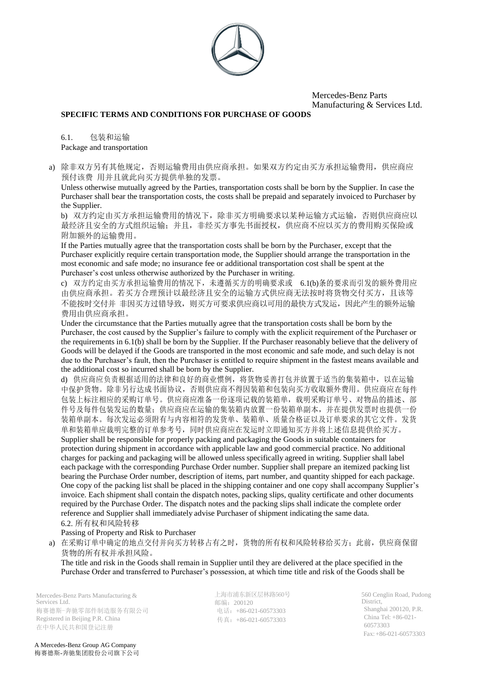

#### **SPECIFIC TERMS AND CONDITIONS FOR PURCHASE OF GOODS**

6.1. 包装和运输 Package and transportation

a) 除非双方另有其他规定,否则运输费用由供应商承担。如果双方约定由买方承担运输费用,供应商应 预付该费 用并且就此向买方提供单独的发票。

Unless otherwise mutually agreed by the Parties, transportation costs shall be born by the Supplier. In case the Purchaser shall bear the transportation costs, the costs shall be prepaid and separately invoiced to Purchaser by the Supplier.

b) 双方约定由买方承担运输费用的情况下,除非买方明确要求以某种运输方式运输,否则供应商应以 最经济且安全的方式组织运输;并且,非经买方事先书面授权,供应商不应以买方的费用购买保险或 附加额外的运输费用。

If the Parties mutually agree that the transportation costs shall be born by the Purchaser, except that the Purchaser explicitly require certain transportation mode, the Supplier should arrange the transportation in the most economic and safe mode; no insurance fee or additional transportation cost shall be spent at the Purchaser's cost unless otherwise authorized by the Purchaser in writing.

c) 双方约定由买方承担运输费用的情况下,未遵循买方的明确要求或 6.1(b)条的要求而引发的额外费用应 由供应商承担。若买方合理预计以最经济且安全的运输方式供应商无法按时将货物交付买方,且该等 不能按时交付并 非因买方过错导致,则买方可要求供应商以可用的最快方式发运,因此产生的额外运输 费用由供应商承担。

Under the circumstance that the Parties mutually agree that the transportation costs shall be born by the Purchaser, the cost caused by the Supplier's failure to comply with the explicit requirement of the Purchaser or the requirements in 6.1(b) shall be born by the Supplier. If the Purchaser reasonably believe that the delivery of Goods will be delayed if the Goods are transported in the most economic and safe mode, and such delay is not due to the Purchaser's fault, then the Purchaser is entitled to require shipment in the fastest means available and the additional cost so incurred shall be born by the Supplier.

d) 供应商应负责根据适用的法律和良好的商业惯例,将货物妥善打包并放置于适当的集装箱中,以在运输 中保护货物。除非另行达成书面协议,否则供应商不得因装箱和包装向买方收取额外费用。供应商应在每件 包装上标注相应的采购订单号。供应商应准备一份逐项记载的装箱单,载明采购订单号、对物品的描述、部 件号及每件包装发运的数量;供应商应在运输的集装箱内放置一份装箱单副本,并在提供发票时也提供一份 装箱单副本。每次发运必须附有与内容相符的发货单、装箱单、质量合格证以及订单要求的其它文件。发货 单和装箱单应裁明完整的订单参考号,同时供应商应在发运时立即通知买方并将上述信息提供给买方。

Supplier shall be responsible for properly packing and packaging the Goods in suitable containers for protection during shipment in accordance with applicable law and good commercial practice. No additional charges for packing and packaging will be allowed unless specifically agreed in writing. Supplier shall label each package with the corresponding Purchase Order number. Supplier shall prepare an itemized packing list bearing the Purchase Order number, description of items, part number, and quantity shipped for each package. One copy of the packing list shall be placed in the shipping container and one copy shall accompany Supplier's invoice. Each shipment shall contain the dispatch notes, packing slips, quality certificate and other documents required by the Purchase Order. The dispatch notes and the packing slips shall indicate the complete order reference and Supplier shall immediately advise Purchaser of shipment indicating the same data. 6.2. 所有权和风险转移

Passing of Property and Risk to Purchaser

a) 在采购订单中确定的地点交付并向买方转移占有之时, 货物的所有权和风险转移给买方; 此前, 供应商保留 货物的所有权并承担风险。

The title and risk in the Goods shall remain in Supplier until they are delivered at the place specified in the Purchase Order and transferred to Purchaser's possession, at which time title and risk of the Goods shall be

Mercedes-Benz Parts Manufacturing & Services Ltd. 梅赛德斯-奔驰零部件制造服务有限公司 Registered in Beijing P.R. China 在中华人民共和国登记注册

上海市浦东新区层林路560号 邮编:200120 电话: +86-021-60573303 传真:+86-021-60573303

560 Cenglin Road, Pudong District, Shanghai 200120, P.R. China Tel: +86-021- 60573303 Fax:+86-021-60573303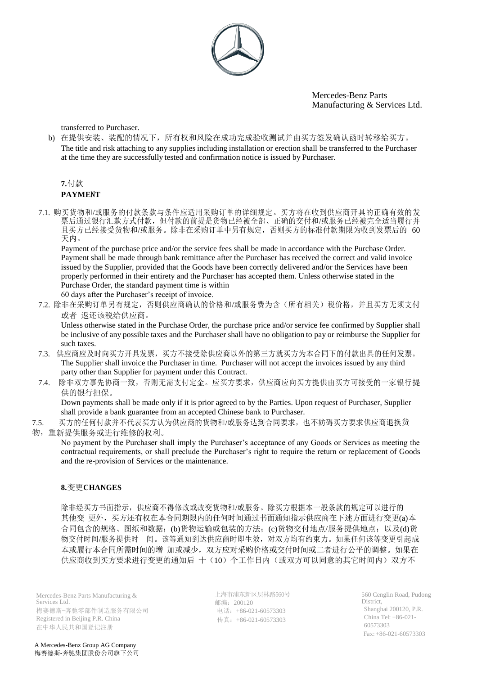

transferred to Purchaser.

b) 在提供安装、装配的情况下,所有权和风险在成功完成验收测试并由买方签发确认函时转移给买方。 The title and risk attaching to any supplies including installation or erection shall be transferred to the Purchaser at the time they are successfully tested and confirmation notice is issued by Purchaser.

# **7.**付款

## **PAYME**N**T**

7.1. 购买货物和/或服务的付款条款与条件应适用采购订单的详细规定。买方将在收到供应商开具的正确有效的发 票后通过银行汇款方式付款,但付款的前提是货物已经被全部、正确的交付和/或服务已经被完全适当履行并 且买方已经接受货物和/或服务。除非在采购订单中另有规定,否则买方的标准付款期限为收到发票后的 60 天内。

Payment of the purchase price and/or the service fees shall be made in accordance with the Purchase Order. Payment shall be made through bank remittance after the Purchaser has received the correct and valid invoice issued by the Supplier, provided that the Goods have been correctly delivered and/or the Services have been properly performed in their entirety and the Purchaser has accepted them. Unless otherwise stated in the Purchase Order, the standard payment time is within 60 days after the Purchaser's receipt of invoice.

7.2. 除非在采购订单另有规定,否则供应商确认的价格和/或服务费为含(所有相关)税价格,并且买方无须支付 或者 返还该税给供应商。

Unless otherwise stated in the Purchase Order, the purchase price and/or service fee confirmed by Supplier shall be inclusive of any possible taxes and the Purchaser shall have no obligation to pay or reimburse the Supplier for such taxes.

- 7.3. 供应商应及时向买方开具发票,买方不接受除供应商以外的第三方就买方为本合同下的付款出具的任何发票。 The Supplier shall invoice the Purchaser in time. Purchaser will not accept the invoices issued by any third party other than Supplier for payment under this Contract.
- 7.4. 除非双方事先协商一致,否则无需支付定金。应买方要求,供应商应向买方提供由买方可接受的一家银行提 供的银行担保。

Down payments shall be made only if it is prior agreed to by the Parties. Upon request of Purchaser, Supplier shall provide a bank guarantee from an accepted Chinese bank to Purchaser.

7.5. 买方的任何付款并不代表买方认为供应商的货物和/或服务达到合同要求,也不妨碍买方要求供应商退换货

## 物,重新提供服务或进行维修的权利。

No payment by the Purchaser shall imply the Purchaser's acceptance of any Goods or Services as meeting the contractual requirements, or shall preclude the Purchaser's right to require the return or replacement of Goods and the re-provision of Services or the maintenance.

## **8.**变更**CHANGES**

除非经买方书面指示,供应商不得修改或改变货物和/或服务。除买方根据本一般条款的规定可以进行的 其他变 更外,买方还有权在本合同期限内的任何时间通过书面通知指示供应商在下述方面进行变更(a)本 合同包含的规格、图纸和数据;(b)货物运输或包装的方法;(c)货物交付地点/服务提供地点;以及(d)货 物交付时间/服务提供时 间。该等通知到达供应商时即生效,对双方均有约束力。如果任何该等变更引起成 本或履行本合同所需时间的增 加或减少,双方应对采购价格或交付时间或二者进行公平的调整。如果在 供应商收到买方要求进行变更的通知后 十(10)个工作日内(或双方可以同意的其它时间内)双方不

Mercedes-Benz Parts Manufacturing & Services Ltd. 梅赛德斯-奔驰零部件制造服务有限公司 Registered in Beijing P.R. China 在中华人民共和国登记注册

上海市浦东新区层林路560号 邮编:200120 电话: +86-021-60573303 传真:+86-021-60573303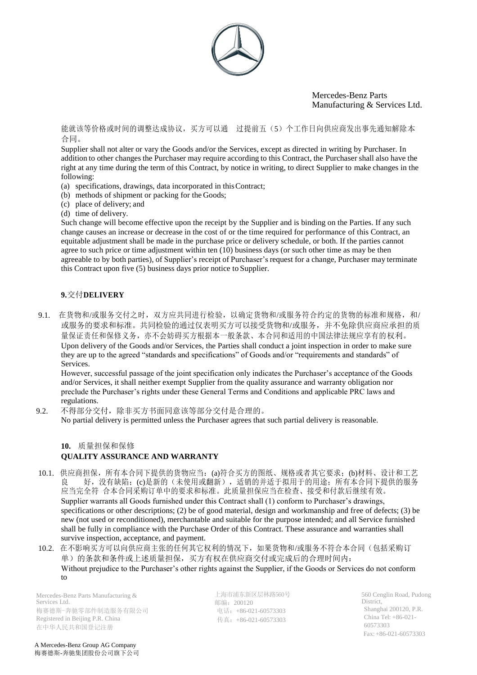

能就该等价格或时间的调整达成协议,买方可以通 过提前五(5)个工作日向供应商发出事先通知解除本 合同。

Supplier shall not alter or vary the Goods and/or the Services, except as directed in writing by Purchaser. In addition to other changes the Purchaser may require according to this Contract, the Purchaser shall also have the right at any time during the term of this Contract, by notice in writing, to direct Supplier to make changes in the following:

- (a) specifications, drawings, data incorporated in thisContract;
- (b) methods of shipment or packing for the Goods;
- (c) place of delivery; and
- (d) time of delivery.

Such change will become effective upon the receipt by the Supplier and is binding on the Parties. If any such change causes an increase or decrease in the cost of or the time required for performance of this Contract, an equitable adjustment shall be made in the purchase price or delivery schedule, or both. If the parties cannot agree to such price or time adjustment within ten (10) business days (or such other time as may be then agreeable to by both parties), of Supplier's receipt of Purchaser's request for a change, Purchaser may terminate this Contract upon five (5) business days prior notice to Supplier.

## **9.**交付**DELIVERY**

9.1. 在货物和/或服务交付之时,双方应共同进行检验,以确定货物和/或服务符合约定的货物的标准和规格,和/ 或服务的要求和标准。共同检验的通过仅表明买方可以接受货物和/或服务,并不免除供应商应承担的质 量保证责任和保修义务,亦不会妨碍买方根据本一般条款、本合同和适用的中国法律法规应享有的权利。 Upon delivery of the Goods and/or Services, the Parties shall conduct a joint inspection in order to make sure they are up to the agreed "standards and specifications" of Goods and/or "requirements and standards" of Services.

However, successful passage of the joint specification only indicates the Purchaser's acceptance of the Goods and/or Services, it shall neither exempt Supplier from the quality assurance and warranty obligation nor preclude the Purchaser's rights under these General Terms and Conditions and applicable PRC laws and regulations.

9.2. 不得部分交付,除非买方书面同意该等部分交付是合理的。

No partial delivery is permitted unless the Purchaser agrees that such partial delivery is reasonable.

## **10.** 质量担保和保修 **QUALITY ASSURANCE AND WARRANTY**

- 10.1. 供应商担保,所有本合同下提供的货物应当:(a)符合买方的图纸、规格或者其它要求;(b)材料、设计和工艺 良 好, 没有缺陷;(c)是新的(未使用或翻新), 适销的并适于拟用于的用途; 所有本合同下提供的服务 应当完全符 合本合同采购订单中的要求和标准。此质量担保应当在检查、接受和付款后继续有效。 Supplier warrants all Goods furnished under this Contract shall (1) conform to Purchaser's drawings, specifications or other descriptions; (2) be of good material, design and workmanship and free of defects; (3) be new (not used or reconditioned), merchantable and suitable for the purpose intended; and all Service furnished shall be fully in compliance with the Purchase Order of this Contract. These assurance and warranties shall survive inspection, acceptance, and payment.
- 10.2. 在不影响买方可以向供应商主张的任何其它权利的情况下,如果货物和/或服务不符合本合同(包括采购订 单)的条款和条件或上述质量担保,买方有权在供应商交付或完成后的合理时间内: Without prejudice to the Purchaser's other rights against the Supplier, if the Goods or Services do not conform to

Mercedes-Benz Parts Manufacturing & Services Ltd. 梅赛德斯-奔驰零部件制造服务有限公司 Registered in Beijing P.R. China 在中华人民共和国登记注册

上海市浦东新区层林路560号 邮编:200120 电话: +86-021-60573303 传真:+86-021-60573303

560 Cenglin Road, Pudong District, Shanghai 200120, P.R. China Tel: +86-021- 60573303 Fax:+86-021-60573303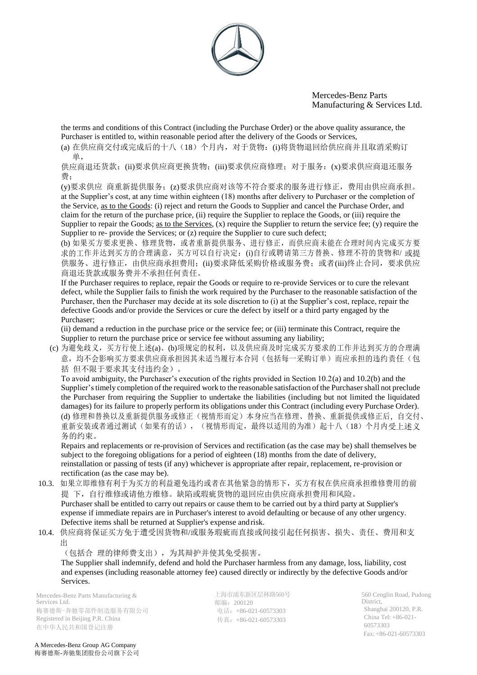

the terms and conditions of this Contract (including the Purchase Order) or the above quality assurance, the Purchaser is entitled to, within reasonable period after the delivery of the Goods or Services,

(a) 在供应商交付或完成后的十八(18)个月内,对于货物:(i)将货物退回给供应商并且取消采购订 单,

供应商退还货款;(ii)要求供应商更换货物;(iii)要求供应商修理;对于服务:(x)要求供应商退还服务 费;

(y)要求供应 商重新提供服务;(z)要求供应商对该等不符合要求的服务进行修正,费用由供应商承担。 at the Supplier's cost, at any time within eighteen (18) months after delivery to Purchaser or the completion of the Service, as to the Goods: (i) reject and return the Goods to Supplier and cancel the Purchase Order, and claim for the return of the purchase price, (ii) require the Supplier to replace the Goods, or (iii) require the Supplier to repair the Goods; <u>as to the Services</u>, (x) require the Supplier to return the service fee; (y) require the Supplier to re- provide the Services; or (z) require the Supplier to cure such defect;

(b) 如果买方要求更换、修理货物,或者重新提供服务、进行修正,而供应商未能在合理时间内完成买方要 求的工作并达到买方的合理满意,买方可以自行决定: (i)自行或聘请第三方替换、修理不符的货物和/ 或提 供服务、进行修正,由供应商承担费用;(ii)要求降低采购价格或服务费;或者(iii)终止合同,要求供应 商退还货款或服务费并不承担任何责任。

If the Purchaser requires to replace, repair the Goods or require to re-provide Services or to cure the relevant defect, while the Supplier fails to finish the work required by the Purchaser to the reasonable satisfaction of the Purchaser, then the Purchaser may decide at its sole discretion to (i) at the Supplier's cost, replace, repair the defective Goods and/or provide the Services or cure the defect by itself or a third party engaged by the Purchaser;

(ii) demand a reduction in the purchase price or the service fee; or (iii) terminate this Contract, require the Supplier to return the purchase price or service fee without assuming any liability;

(c) 为避免歧义,买方行使上述(a)、(b)项规定的权利,以及供应商及时完成买方要求的工作并达到买方的合理满 意,均不会影响买方要求供应商承担因其未适当履行本合同(包括每一采购订单)而应承担的违约责任(包 括 但不限于要求其支付违约金)。

To avoid ambiguity, the Purchaser's execution of the rights provided in Section 10.2(a) and 10.2(b) and the Supplier's timely completion of the required work to the reasonable satisfaction of the Purchaser shall not preclude the Purchaser from requiring the Supplier to undertake the liabilities (including but not limited the liquidated damages) for its failure to properly perform its obligations under this Contract (including every Purchase Order). (d) 修理和替换以及重新提供服务或修正(视情形而定)本身应当在修理、替换、重新提供或修正后, 自交付、 重新安装或者通过测试(如果有的话),(视情形而定,最终以适用的为准)起十八(18)个月内受上述义 务的约束。

Repairs and replacements or re-provision of Services and rectification (as the case may be) shall themselves be subject to the foregoing obligations for a period of eighteen (18) months from the date of delivery, reinstallation or passing of tests (if any) whichever is appropriate after repair, replacement, re-provision or rectification (as the case may be).

10.3. 如果立即维修有利于为买方的利益避免违约或者在其他紧急的情形下,买方有权在供应商承担维修费用的前 提 下,自行维修或请他方维修。缺陷或瑕疵货物的退回应由供应商承担费用和风险。

Purchaser shall be entitled to carry out repairs or cause them to be carried out by a third party at Supplier's expense if immediate repairs are in Purchaser's interest to avoid defaulting or because of any other urgency. Defective items shall be returned at Supplier's expense and risk.

10.4. 供应商将保证买方免于遭受因货物和/或服务瑕疵而直接或间接引起任何损害、损失、责任、费用和支 出

(包括合 理的律师费支出),为其辩护并使其免受损害。

The Supplier shall indemnify, defend and hold the Purchaser harmless from any damage, loss, liability, cost and expenses (including reasonable attorney fee) caused directly or indirectly by the defective Goods and/or Services.

Mercedes-Benz Parts Manufacturing & Services Ltd. 梅赛德斯-奔驰零部件制造服务有限公司 Registered in Beijing P.R. China 在中华人民共和国登记注册

上海市浦东新区层林路560号 邮编:200120 电话:+86-021-60573303 传真:+86-021-60573303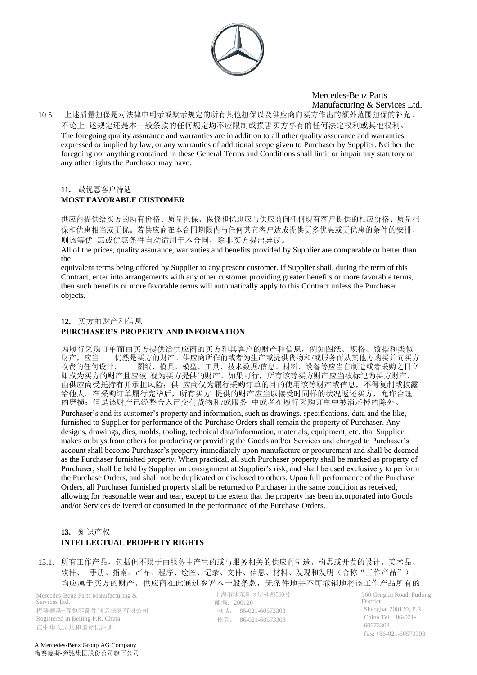

10.5. 上述质量担保是对法律中明示或默示规定的所有其他担保以及供应商向买方作出的额外范围担保的补充。 不论上 述规定还是本一般条款的任何规定均不应限制或损害买方享有的任何法定权利或其他权利。 The foregoing quality assurance and warranties are in addition to all other quality assurance and warranties expressed or implied by law, or any warranties of additional scope given to Purchaser by Supplier. Neither the foregoing nor anything contained in these General Terms and Conditions shall limit or impair any statutory or any other rights the Purchaser may have.

## **11.** 最优惠客户待遇 **MOST FAVORABLE CUSTOMER**

供应商提供给买方的所有价格、质量担保、保修和优惠应与供应商向任何现有客户提供的相应价格、质量担 保和优惠相当或更优。若供应商在本合同期限内与任何其它客户达成提供更多优惠或更优惠的条件的安排, 则该等优 惠或优惠条件自动适用于本合同,除非买方提出异议。

All of the prices, quality assurance, warranties and benefits provided by Supplier are comparable or better than the

equivalent terms being offered by Supplier to any present customer. If Supplier shall, during the term of this Contract, enter into arrangements with any other customer providing greater benefits or more favorable terms, then such benefits or more favorable terms will automatically apply to this Contract unless the Purchaser objects.

#### **12.** 买方的财产和信息

#### **PURCHASER'S PROPERTY AND INFORMATION**

为履行采购订单而由买方提供给供应商的买方和其客户的财产和信息,例如图纸、规格、数据和类似 财产,应当 仍然是买方的财产。供应商所作的或者为生产或提供货物和/或服务而从其他方购买并向买方<br>收费的任何设计、 图纸、模具、模型、工具、技术数据/信息、材料、设备等应当自制造或者采购之日立 图纸、模具、模型、工具、技术数据/信息、材料、设备等应当自制造或者采购之日立 即成为买方的财产且应被 视为买方提供的财产。如果可行,所有该等买方财产应当被标记为买方财产、 由供应商受托持有并承担风险;供 应商仅为履行采购订单的目的使用该等财产或信息,不得复制或披露 给他人。在采购订单履行完毕后,所有买方 提供的财产应当以接受时同样的状况返还买方,允许合理 的磨损;但是该财产已经整合入已交付货物和/或服务 中或者在履行采购订单中被消耗掉的除外。 Purchaser's and its customer's property and information, such as drawings, specifications, data and the like, furnished to Supplier for performance of the Purchase Orders shall remain the property of Purchaser. Any designs, drawings, dies, molds, tooling, technical data/information, materials, equipment, etc. that Supplier makes or buys from others for producing or providing the Goods and/or Services and charged to Purchaser's account shall become Purchaser's property immediately upon manufacture or procurement and shall be deemed as the Purchaser furnished property. When practical, all such Purchaser property shall be marked as property of Purchaser, shall be held by Supplier on consignment at Supplier's risk, and shall be used exclusively to perform the Purchase Orders, and shall not be duplicated or disclosed to others. Upon full performance of the Purchase Orders, all Purchaser furnished property shall be returned to Purchaser in the same condition as received, allowing for reasonable wear and tear, except to the extent that the property has been incorporated into Goods and/or Services delivered or consumed in the performance of the Purchase Orders.

## **13.** 知识产权 **INTELLECTUAL PROPERTY RIGHTS**

13.1. 所有工作产品,包括但不限于由服务中产生的或与服务相关的供应商制造、构思或开发的设计、美术品、 软件、 手册、指南、产品、程序、绘图、记录、文件、信息、材料、发现和发明(合称"工作产品"), 均应属于买方的财产。供应商在此通过签署本一般条款,无条件地并不可撤销地将该工作产品所有的

Mercedes-Benz Parts Manufacturing & Services Ltd. 梅赛德斯-奔驰零部件制造服务有限公司 Registered in Beijing P.R. China 在中华人民共和国登记注册

上海市浦东新区层林路560号 邮编:200120 电话:+86-021-60573303 传真:+86-021-60573303

560 Cenglin Road, Pudong District, Shanghai 200120, P.R. China Tel: +86-021- 60573303 Fax:+86-021-60573303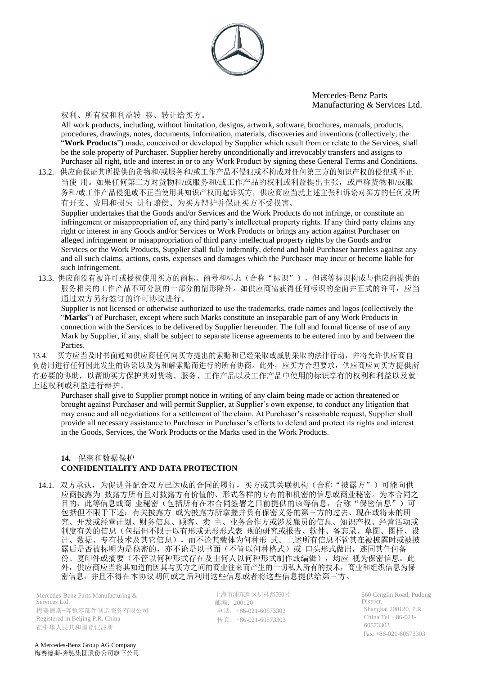

#### 权利、所有权和利益转 移、转让给买方。

All work products, including, without limitation, designs, artwork, software, brochures, manuals, products, procedures, drawings, notes, documents, information, materials, discoveries and inventions (collectively, the "**Work Products**") made, conceived or developed by Supplier which result from or relate to the Services, shall be the sole property of Purchaser. Supplier hereby unconditionally and irrevocably transfers and assigns to Purchaser all right, title and interest in or to any Work Product by signing these General Terms and Conditions.

13.2. 供应商保证其所提供的货物和/或服务和/或工作产品不侵犯或不构成对任何第三方的知识产权的侵犯或不正 当使 用。如果任何第三方对货物和/或服务和/或工作产品的权利或利益提出主张,或声称货物和/或服 务和/或工作产品侵犯或不正当使用其知识产权而起诉买方,供应商应当就上述主张和诉讼对买方的任何及所 有开支、费用和损失 进行赔偿、为买方辩护并保证买方不受损害。

Supplier undertakes that the Goods and/or Services and the Work Products do not infringe, or constitute an infringement or misappropriation of, any third party's intellectual property rights. If any third party claims any right or interest in any Goods and/or Services or Work Products or brings any action against Purchaser on alleged infringement or misappropriation of third party intellectual property rights by the Goods and/or Services or the Work Products, Supplier shall fully indemnify, defend and hold Purchaser harmless against any and all such claims, actions, costs, expenses and damages which the Purchaser may incur or become liable for such infringement.

13.3. 供应商没有被许可或授权使用买方的商标、商号和标志(合称"标识"),但该等标识构成与供应商提供的 服务相关的工作产品不可分割的一部分的情形除外。如供应商需获得任何标识的全面并正式的许可,应当 通过双方另行签订的许可协议进行。

Supplier is not licensed or otherwise authorized to use the trademarks, trade names and logos (collectively the "**Marks**") of Purchaser, except where such Marks constitute an inseparable part of any Work Products in connection with the Services to be delivered by Supplier hereunder. The full and formal license of use of any Mark by Supplier, if any, shall be subject to separate license agreements to be entered into by and between the Parties.

13.4. 买方应当及时书面通知供应商任何向买方提出的索赔和已经采取或威胁采取的法律行动,并将允许供应商自 负费用进行任何因此发生的诉讼以及为和解索赔而进行的所有协商。此外,应买方合理要求,供应商应向买方提供所 有必要的协助,以帮助买方保护其对货物、服务、工作产品以及工作产品中使用的标识享有的权利和利益以及就 上述权利或利益进行辩护。

Purchaser shall give to Supplier prompt notice in writing of any claim being made or action threatened or brought against Purchaser and will permit Supplier, at Supplier's own expense, to conduct any litigation that may ensue and all negotiations for a settlement of the claim. At Purchaser's reasonable request, Supplier shall provide all necessary assistance to Purchaser in Purchaser's efforts to defend and protect its rights and interest in the Goods, Services, the Work Products or the Marks used in the Work Products.

## **14.** 保密和数据保护 **CONFIDENTIALITY AND DATA PROTECTION**

14.1. 双方承认,为促进并配合双方已达成的合同的履行,买方或其关联机构(合称"披露方")可能向供 应商披露为 披露方所有且对披露方有价值的、形式各样的专有的和机密的信息或商业秘密。为本合同之 目的,此等信息或商业秘密(包括所有在本合同签署之日前提供的该等信息,合称"保密信息")可 包括但不限于下述:有关披露方 或为披露方所掌握并负有保密义务的第三方的过去、现在或将来的研 究、开发或经营计划、财务信息、顾客、卖 主、业务合作方或涉及雇员的信息、知识产权、经营活动或 制度有关的信息(包括但不限于以有形或无形形式表 现的研究或报告、软件、备忘录、草图、图样、设 计、数据、专有技术及其它信息),而不论其载体为何种形 式。上述所有信息不管其在被披露时或被披 露后是否被标明为是秘密的,亦不论是以书面(不管以何种格式)或 口头形式做出,连同其任何备 份、复印件或摘要(不管以何种形式存在及由何人以何种形式制作或编辑),均应 视为保密信息。此 外,供应商应当将其知道的因其与买方之间的商业往来而产生的一切私人所有的技术,商业和组织信息为保 密信息,并且不得在本协议期间或之后利用这些信息或者将这些信息提供给第三方。

Mercedes-Benz Parts Manufacturing & Services Ltd. 梅赛德斯-奔驰零部件制造服务有限公司 Registered in Beijing P.R. China 在中华人民共和国登记注册

上海市浦东新区层林路560号 邮编:200120 电话:+86-021-60573303 传真:+86-021-60573303

560 Cenglin Road, Pudong District, Shanghai 200120, P.R. China Tel: +86-021- 60573303 Fax:+86-021-60573303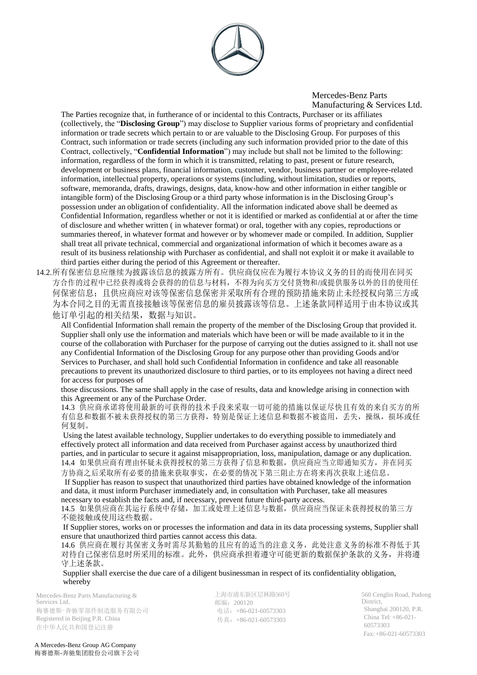

The Parties recognize that, in furtherance of or incidental to this Contracts, Purchaser or its affiliates (collectively, the "**Disclosing Group**") may disclose to Supplier various forms of proprietary and confidential information or trade secrets which pertain to or are valuable to the Disclosing Group. For purposes of this Contract, such information or trade secrets (including any such information provided prior to the date of this Contract, collectively, "**Confidential Information**") may include but shall not be limited to the following: information, regardless of the form in which it is transmitted, relating to past, present or future research, development or business plans, financial information, customer, vendor, business partner or employee-related information, intellectual property, operations or systems (including, without limitation, studies or reports, software, memoranda, drafts, drawings, designs, data, know-how and other information in either tangible or intangible form) of the Disclosing Group or a third party whose information is in the Disclosing Group's possession under an obligation of confidentiality. All the information indicated above shall be deemed as Confidential Information, regardless whether or not it is identified or marked as confidential at or after the time of disclosure and whether written ( in whatever format) or oral, together with any copies, reproductions or summaries thereof, in whatever format and however or by whomever made or compiled. In addition, Supplier shall treat all private technical, commercial and organizational information of which it becomes aware as a result of its business relationship with Purchaser as confidential, and shall not exploit it or make it available to third parties either during the period of this Agreement or thereafter.

14.2.所有保密信息应继续为披露该信息的披露方所有。供应商仅应在为履行本协议义务的目的而使用在同买 方合作的过程中已经获得或将会获得的的信息与材料,不得为向买方交付货物和/或提供服务以外的目的使用任 何保密信息;且供应商应对该等保密信息保密并采取所有合理的预防措施来防止未经授权向第三方或 为本合同之目的无需直接接触该等保密信息的雇员披露该等信息。上述条款同样适用于由本协议或其 他订单引起的相关结果,数据与知识。

All Confidential Information shall remain the property of the member of the Disclosing Group that provided it. Supplier shall only use the information and materials which have been or will be made available to it in the course of the collaboration with Purchaser for the purpose of carrying out the duties assigned to it. shall not use any Confidential Information of the Disclosing Group for any purpose other than providing Goods and/or Services to Purchaser, and shall hold such Confidential Information in confidence and take all reasonable precautions to prevent its unauthorized disclosure to third parties, or to its employees not having a direct need for access for purposes of

those discussions. The same shall apply in the case of results, data and knowledge arising in connection with this Agreement or any of the Purchase Order.

14.3 供应商承诺将使用最新的可获得的技术手段来采取一切可能的措施以保证尽快且有效的来自买方的所 有信息和数据不被未获得授权的第三方获得,特别是保证上述信息和数据不被盗用,丢失,操纵,损坏或任 何复制。

Using the latest available technology, Supplier undertakes to do everything possible to immediately and effectively protect all information and data received from Purchaser against access by unauthorized third parties, and in particular to secure it against misappropriation, loss, manipulation, damage or any duplication. 14.4 如果供应商有理由怀疑未获得授权的第三方获得了信息和数据, 供应商应当立即通知买方, 并在同买 方协商之后采取所有必要的措施来获取事实,在必要的情况下第三阻止方在将来再次获取上述信息。

If Supplier has reason to suspect that unauthorized third parties have obtained knowledge of the information and data, it must inform Purchaser immediately and, in consultation with Purchaser, take all measures necessary to establish the facts and, if necessary, prevent future third-party access.

14.5 如果供应商在其运行系统中存储,加工或处理上述信息与数据,供应商应当保证未获得授权的第三方 不能接触或使用这些数据。

If Supplier stores, works on or processes the information and data in its data processing systems, Supplier shall ensure that unauthorized third parties cannot access this data.

14.6 供应商在履行其保密义务时需尽其勤勉的且应有的适当的注意义务,此处注意义务的标准不得低于其 对待自己保密信息时所采用的标准。此外,供应商承担着遵守可能更新的数据保护条款的义务,并将遵 守上述条款。

Supplier shall exercise the due care of a diligent businessman in respect of its confidentiality obligation, whereby

Mercedes-Benz Parts Manufacturing & Services Ltd. 梅赛德斯-奔驰零部件制造服务有限公司 Registered in Beijing P.R. China 在中华人民共和国登记注册

上海市浦东新区层林路560号 邮编:200120 电话:+86-021-60573303 传真:+86-021-60573303

560 Cenglin Road, Pudong District, Shanghai 200120, P.R. China Tel: +86-021- 60573303 Fax:+86-021-60573303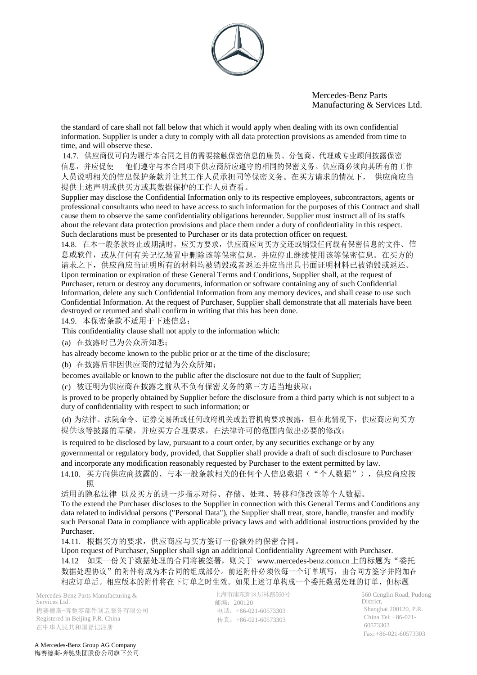

the standard of care shall not fall below that which it would apply when dealing with its own confidential information. Supplier is under a duty to comply with all data protection provisions as amended from time to time, and will observe these.

14.7. 供应商仅可向为履行本合同之目的需要接触保密信息的雇员、分包商、代理或专业顾问披露保密 信息,并应促使 他们遵守与本合同项下供应商所应遵守的相同的保密义务。供应商必须向其所有的工作 人员说明相关的信息保护条款并让其工作人员承担同等保密义务。在买方请求的情况下, 供应商应当 提供上述声明或供买方或其数据保护的工作人员查看。

Supplier may disclose the Confidential Information only to its respective employees, subcontractors, agents or professional consultants who need to have access to such information for the purposes of this Contract and shall cause them to observe the same confidentiality obligations hereunder. Supplier must instruct all of its staffs about the relevant data protection provisions and place them under a duty of confidentiality in this respect. Such declarations must be presented to Purchaser or its data protection officer on request.

14.8. 在本一般条款终止或期满时,应买方要求,供应商应向买方交还或销毁任何载有保密信息的文件、信 息或软件,或从任何有关记忆装置中删除该等保密信息,并应停止继续使用该等保密信息。在买方的 请求之下,供应商应当证明所有的材料均被销毁或者返还并应当出具书面证明材料已被销毁或返还。 Upon termination or expiration of these General Terms and Conditions, Supplier shall, at the request of Purchaser, return or destroy any documents, information or software containing any of such Confidential Information, delete any such Confidential Information from any memory devices, and shall cease to use such Confidential Information. At the request of Purchaser, Supplier shall demonstrate that all materials have been destroyed or returned and shall confirm in writing that this has been done.

14.9. 本保密条款不适用于下述信息:

This confidentiality clause shall not apply to the information which:

(a) 在披露时已为公众所知悉;

has already become known to the public prior or at the time of the disclosure;

(b) 在披露后非因供应商的过错为公众所知;

becomes available or known to the public after the disclosure not due to the fault of Supplier;

(c) 被证明为供应商在披露之前从不负有保密义务的第三方适当地获取;

is proved to be properly obtained by Supplier before the disclosure from a third party which is not subject to a duty of confidentiality with respect to such information; or

(d) 为法律、法院命令、证券交易所或任何政府机关或监管机构要求披露,但在此情况下,供应商应向买方 提供该等披露的草稿,并应买方合理要求,在法律许可的范围内做出必要的修改;

is required to be disclosed by law, pursuant to a court order, by any securities exchange or by any governmental or regulatory body, provided, that Supplier shall provide a draft of such disclosure to Purchaser and incorporate any modification reasonably requested by Purchaser to the extent permitted by law.

14.10. 买方向供应商披露的、与本一般条款相关的任何个人信息数据("个人数据"),供应商应按 照

适用的隐私法律 以及买方的进一步指示对待、存储、处理、转移和修改该等个人数据。

To the extend the Purchaser discloses to the Supplier in connection with this General Terms and Conditions any data related to individual persons ("Personal Data"), the Supplier shall treat, store, handle, transfer and modify such Personal Data in compliance with applicable privacy laws and with additional instructions provided by the Purchaser.

14.11. 根据买方的要求,供应商应与买方签订一份额外的保密合同。

Upon request of Purchaser, Supplier shall sign an additional Confidentiality Agreement with Purchaser. 14.12 如果一份关于数据处理的合同将被签署, 则关于 [www.mercedes-benz.com.cn](http://www.mercedes-benz.com.cn/)上的标题为"委托 数据处理协议"的附件将成为本合同的组成部分。前述附件必须依每一个订单填写,由合同方签字并附加在 相应订单后。相应版本的附件将在下订单之时生效。如果上述订单构成一个委托数据处理的订单,但标题

Mercedes-Benz Parts Manufacturing & Services Ltd. 梅赛德斯-奔驰零部件制造服务有限公司 Registered in Beijing P.R. China 在中华人民共和国登记注册

上海市浦东新区层林路560号 邮编:200120 电话:+86-021-60573303 传真:+86-021-60573303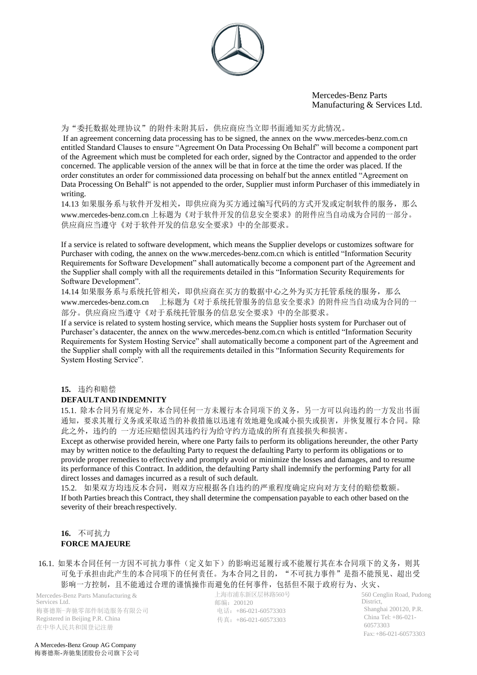

#### 为"委托数据处理协议"的附件未附其后,供应商应当立即书面通知买方此情况。

If an agreement concerning data processing has to be signed, the annex on the [www.mercedes-benz.com.cn](http://www.mercedes-benz.com.cn/) entitled Standard Clauses to ensure "Agreement On Data Processing On Behalf" will become a component part of the Agreement which must be completed for each order, signed by the Contractor and appended to the order concerned. The applicable version of the annex will be that in force at the time the order was placed. If the order constitutes an order for commissioned data processing on behalf but the annex entitled "Agreement on Data Processing On Behalf" is not appended to the order, Supplier must inform Purchaser of this immediately in writing.

14.13 如果服务系与软件开发相关,即供应商为买方通过编写代码的方式开发或定制软件的服务, 那么 [www.mercedes-benz.com.cn](http://www.mercedes-benz.com.cn/) 上标题为《对于软件开发的信息安全要求》的附件应当自动成为合同的一部分。 供应商应当遵守《对于软件开发的信息安全要求》中的全部要求。

If a service is related to software development, which means the Supplier develops or customizes software for Purchaser with coding, the annex on the [www.mercedes-benz.com.cn w](http://www.mercedes-benz.com.cn/)hich is entitled "Information Security Requirements for Software Development" shall automatically become a component part of the Agreement and the Supplier shall comply with all the requirements detailed in this "Information Security Requirements for Software Development".

14.14 如果服务系与系统托管相关,即供应商在买方的数据中心之外为买方托管系统的服务, 那么 [www.mercedes-benz.com.cn](http://www.mercedes-benz.com.cn/) 上标题为《对于系统托管服务的信息安全要求》的附件应当自动成为合同的一 部分。供应商应当遵守《对于系统托管服务的信息安全要求》中的全部要求。

If a service is related to system hosting service, which means the Supplier hosts system for Purchaser out of Purchaser's datacenter, the annex on the [www.mercedes-benz.com.cn w](http://www.mercedes-benz.com.cn/)hich is entitled "Information Security Requirements for System Hosting Service" shall automatically become a component part of the Agreement and the Supplier shall comply with all the requirements detailed in this "Information Security Requirements for System Hosting Service".

#### **15.** 违约和赔偿

## **DEFAULTANDINDEMNITY**

15.1. 除本合同另有规定外,本合同任何一方未履行本合同项下的义务,另一方可以向违约的一方发出书面 通知,要求其履行义务或采取适当的补救措施以迅速有效地避免或减小损失或损害,并恢复履行本合同。除 此之外,违约的 一方还应赔偿因其违约行为给守约方造成的所有直接损失和损害。

Except as otherwise provided herein, where one Party fails to perform its obligations hereunder, the other Party may by written notice to the defaulting Party to request the defaulting Party to perform its obligations or to provide proper remedies to effectively and promptly avoid or minimize the losses and damages, and to resume its performance of this Contract. In addition, the defaulting Party shall indemnify the performing Party for all direct losses and damages incurred as a result of such default.

15.2. 如果双方均违反本合同,则双方应根据各自违约的严重程度确定应向对方支付的赔偿数额。 If both Parties breach this Contract, they shall determine the compensation payable to each other based on the severity of their breach respectively.

## **16.** 不可抗力 **FORCE MAJEURE**

16.1. 如果本合同任何一方因不可抗力事件(定义如下)的影响迟延履行或不能履行其在本合同项下的义务, 则其 可免于承担由此产生的本合同项下的任何责任。为本合同之目的, "不可抗力事件"是指不能预见、超出受 影响一方控制,且不能通过合理的谨慎操作而避免的任何事件,包括但不限于政府行为、火灾、

Mercedes-Benz Parts Manufacturing & Services Ltd. 梅赛德斯-奔驰零部件制造服务有限公司 Registered in Beijing P.R. China 在中华人民共和国登记注册

上海市浦东新区层林路560号 邮编:200120 电话:+86-021-60573303 传真:+86-021-60573303

560 Cenglin Road, Pudong District, Shanghai 200120, P.R. China Tel: +86-021- 60573303 Fax:+86-021-60573303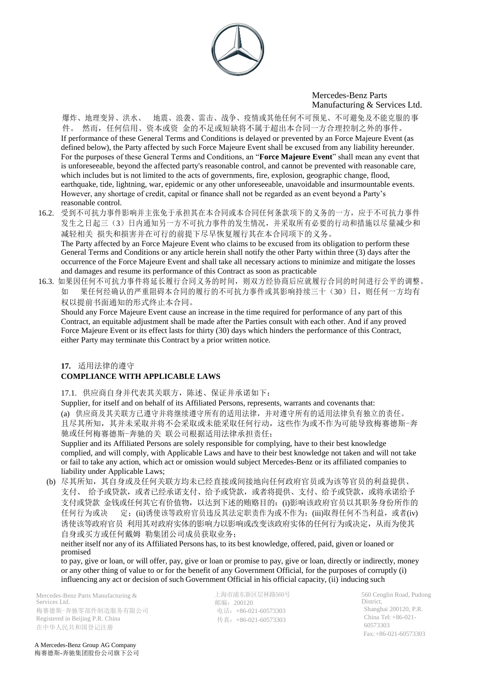

爆炸、地理变异、洪水、 地震、浪袭、雷击、战争、疫情或其他任何不可预见、不可避免及不能克服的事 件。 然而,任何信用、资本或资 金的不足或短缺将不属于超出本合同一方合理控制之外的事件。 If performance of these General Terms and Conditions is delayed or prevented by an Force Majeure Event (as defined below), the Party affected by such Force Majeure Event shall be excused from any liability hereunder. For the purposes of these General Terms and Conditions, an "**Force Majeure Event**" shall mean any event that is unforeseeable, beyond the affected party's reasonable control, and cannot be prevented with reasonable care, which includes but is not limited to the acts of governments, fire, explosion, geographic change, flood, earthquake, tide, lightning, war, epidemic or any other unforeseeable, unavoidable and insurmountable events. However, any shortage of credit, capital or finance shall not be regarded as an event beyond a Party's reasonable control.

- 16.2. 受到不可抗力事件影响并主张免于承担其在本合同或本合同任何条款项下的义务的一方,应于不可抗力事件 发生之日起三(3)日内通知另一方不可抗力事件的发生情况,并采取所有必要的行动和措施以尽量减少和 减轻相关 损失和损害并在可行的前提下尽早恢复履行其在本合同项下的义务。 The Party affected by an Force Majeure Event who claims to be excused from its obligation to perform these General Terms and Conditions or any article herein shall notify the other Party within three (3) days after the occurrence of the Force Majeure Event and shall take all necessary actions to minimize and mitigate the losses and damages and resume its performance of this Contract as soon as practicable
- 16.3. 如果因任何不可抗力事件将延长履行合同义务的时间,则双方经协商后应就履行合同的时间进行公平的调整。 如 果任何经确认的严重阻碍本合同的履行的不可抗力事件或其影响持续三十(30)日,则任何一方均有 权以提前书面通知的形式终止本合同。

Should any Force Majeure Event cause an increase in the time required for performance of any part of this Contract, an equitable adjustment shall be made after the Parties consult with each other. And if any proved Force Majeure Event or its effect lasts for thirty (30) days which hinders the performance of this Contract, either Party may terminate this Contract by a prior written notice.

# **17.** 适用法律的遵守

# **COMPLIANCE WITH APPLICABLE LAWS**

17.1. 供应商自身并代表其关联方,陈述、保证并承诺如下:

Supplier, for itself and on behalf of its Affiliated Persons, represents, warrants and covenants that: (a) 供应商及其关联方已遵守并将继续遵守所有的适用法律,并对遵守所有的适用法律负有独立的责任。 且尽其所知,其并未采取并将不会采取或未能采取任何行动,这些作为或不作为可能导致梅赛德斯-奔 驰或任何梅赛德斯-奔驰的关 联公司根据适用法律承担责任;

Supplier and its Affiliated Persons are solely responsible for complying, have to their best knowledge complied, and will comply, with Applicable Laws and have to their best knowledge not taken and will not take or fail to take any action, which act or omission would subject Mercedes-Benz or its affiliated companies to liability under Applicable Laws;

(b) 尽其所知,其自身或及任何关联方均未已经直接或间接地向任何政府官员或为该等官员的利益提供、 支付、 给予或贷款, 或者已经承诺支付、给予或贷款, 或者将提供、支付、给予或贷款, 或将承诺给予 支付或贷款 金钱或任何其它有价值物, 以达到下述的贿赂目的: (i)影响该政府官员以其职务身份所作的 任何行为或决 定;(ii)诱使该等政府官员违反其法定职责作为或不作为;(iii)取得任何不当利益,或者(iv) 诱使该等政府官员 利用其对政府实体的影响力以影响或改变该政府实体的任何行为或决定,从而为使其 自身或买方或任何戴姆 勒集团公司成员获取业务;

neither itself nor any of its Affiliated Persons has, to its best knowledge, offered, paid, given or loaned or promised

to pay, give or loan, or will offer, pay, give or loan or promise to pay, give or loan, directly or indirectly, money or any other thing of value to or for the benefit of any Government Official, for the purposes of corruptly (i) influencing any act or decision of such Government Official in his official capacity, (ii) inducing such

Mercedes-Benz Parts Manufacturing & Services Ltd. 梅赛德斯-奔驰零部件制造服务有限公司 Registered in Beijing P.R. China 在中华人民共和国登记注册

上海市浦东新区层林路560号 邮编:200120 电话:+86-021-60573303 传真:+86-021-60573303

560 Cenglin Road, Pudong District, Shanghai 200120, P.R. China Tel: +86-021- 60573303 Fax:+86-021-60573303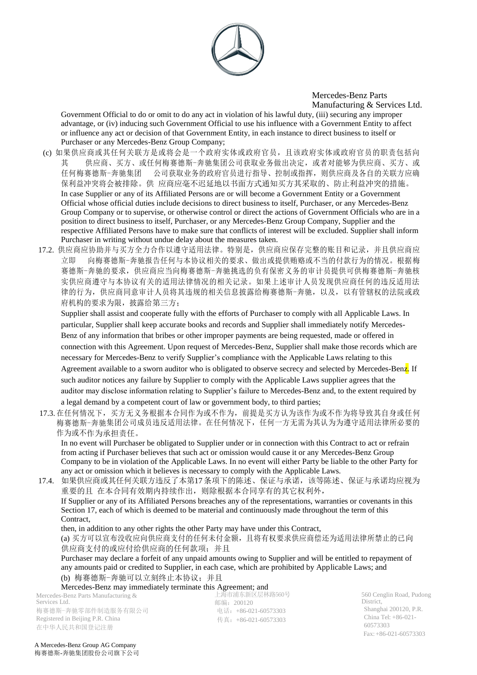

Government Official to do or omit to do any act in violation of his lawful duty, (iii) securing any improper advantage, or (iv) inducing such Government Official to use his influence with a Government Entity to affect or influence any act or decision of that Government Entity, in each instance to direct business to itself or Purchaser or any Mercedes-Benz Group Company;

- (c) 如果供应商或其任何关联方是或将会是一个政府实体或政府官员,且该政府实体或政府官员的职责包括向 其 供应商、买方、或任何梅赛德斯-奔驰集团公司获取业务做出决定,或者对能够为供应商、买方、或 任何梅赛德斯-奔驰集团 公司获取业务的政府官员进行指导、控制或指挥,则供应商及各自的关联方应确 保利益冲突将会被排除。供 应商应毫不迟延地以书面方式通知买方其采取的、防止利益冲突的措施。 In case Supplier or any of its Affiliated Persons are or will become a Government Entity or a Government Official whose official duties include decisions to direct business to itself, Purchaser, or any Mercedes-Benz Group Company or to supervise, or otherwise control or direct the actions of Government Officials who are in a position to direct business to itself, Purchaser, or any Mercedes-Benz Group Company, Supplier and the respective Affiliated Persons have to make sure that conflicts of interest will be excluded. Supplier shall inform Purchaser in writing without undue delay about the measures taken.
- 17.2. 供应商应协助并与买方全力合作以遵守适用法律。特别是,供应商应保存完整的账目和记录,并且供应商应 立即 向梅赛德斯-奔驰报告任何与本协议相关的要求、做出或提供贿赂或不当的付款行为的情况。根据梅 赛德斯-奔驰的要求,供应商应当向梅赛德斯-奔驰挑选的负有保密义务的审计员提供可供梅赛德斯-奔驰核 实供应商遵守与本协议有关的适用法律情况的相关记录。如果上述审计人员发现供应商任何的违反适用法 律的行为,供应商同意审计人员将其违规的相关信息披露给梅赛德斯-奔驰,以及,以有管辖权的法院或政 府机构的要求为限, 披露给第三方;

Supplier shall assist and cooperate fully with the efforts of Purchaser to comply with all Applicable Laws. In particular, Supplier shall keep accurate books and records and Supplier shall immediately notify Mercedes-Benz of any information that bribes or other improper payments are being requested, made or offered in connection with this Agreement. Upon request of Mercedes-Benz, Supplier shall make those records which are necessary for Mercedes-Benz to verify Supplier's compliance with the Applicable Laws relating to this Agreement available to a sworn auditor who is obligated to observe secrecy and selected by Mercedes-Benz. If such auditor notices any failure by Supplier to comply with the Applicable Laws supplier agrees that the auditor may disclose information relating to Supplier's failure to Mercedes-Benz and, to the extent required by a legal demand by a competent court of law or government body, to third parties;

17.3. 在任何情况下,买方无义务根据本合同作为或不作为,前提是买方认为该作为或不作为将导致其自身或任何 梅赛德斯-奔驰集团公司成员违反适用法律。在任何情况下,任何一方无需为其认为为遵守适用法律所必要的 作为或不作为承担责任。

In no event will Purchaser be obligated to Supplier under or in connection with this Contract to act or refrain from acting if Purchaser believes that such act or omission would cause it or any Mercedes-Benz Group Company to be in violation of the Applicable Laws. In no event will either Party be liable to the other Party for any act or omission which it believes is necessary to comply with the Applicable Laws.

17.4. 如果供应商或其任何关联方违反了本第17条项下的陈述、保证与承诺,该等陈述、保证与承诺均应视为 重要的且 在本合同有效期内持续作出,则除根据本合同享有的其它权利外, If Supplier or any of its Affiliated Persons breaches any of the representations, warranties or covenants in this Section 17, each of which is deemed to be material and continuously made throughout the term of this Contract,

then, in addition to any other rights the other Party may have under this Contract,

(a) 买方可以宣布没收应向供应商支付的任何未付金额,且将有权要求供应商偿还为适用法律所禁止的已向 供应商支付的或应付给供应商的任何款项;并且

Purchaser may declare a forfeit of any unpaid amounts owing to Supplier and will be entitled to repayment of any amounts paid or credited to Supplier, in each case, which are prohibited by Applicable Laws; and (b) 梅赛德斯-奔驰可以立刻终止本协议;并且

Mercedes-Benz may immediately terminate this Agreement; and

Mercedes-Benz Parts Manufacturing & Services Ltd. 梅赛德斯-奔驰零部件制造服务有限公司 Registered in Beijing P.R. China 在中华人民共和国登记注册

上海市浦东新区层林路560号 邮编:200120 电话:+86-021-60573303 传真:+86-021-60573303

560 Cenglin Road, Pudong District, Shanghai 200120, P.R. China Tel: +86-021- 60573303 Fax:+86-021-60573303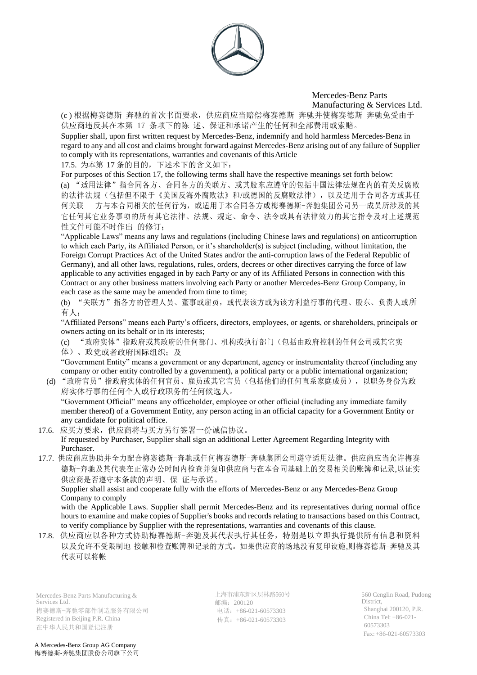

(c ) 根据梅赛德斯-奔驰的首次书面要求,供应商应当赔偿梅赛德斯-奔驰并使梅赛德斯-奔驰免受由于 供应商违反其在本第 17 条项下的陈 述、保证和承诺产生的任何和全部费用或索赔。

Supplier shall, upon first written request by Mercedes-Benz, indemnify and hold harmless Mercedes-Benz in regard to any and all cost and claims brought forward against Mercedes-Benz arising out of any failure of Supplier to comply with its representations, warranties and covenants of thisArticle

17.5. 为本第 17 条的目的,下述术下的含义如下:

For purposes of this Section 17, the following terms shall have the respective meanings set forth below:

(a) "适用法律"指合同各方、合同各方的关联方、或其股东应遵守的包括中国法律法规在内的有关反腐败 的法律法规(包括但不限于《美国反海外腐败法》和/或德国的反腐败法律),以及适用于合同各方或其任 何关联 方与本合同相关的任何行为,或适用于本合同各方或梅赛德斯-奔驰集团公司另一成员所涉及的其 它任何其它业务事项的所有其它法律、法规、规定、命令、法令或具有法律效力的其它指令及对上述规范 性文件可能不时作出 的修订;

"Applicable Laws" means any laws and regulations (including Chinese laws and regulations) on anticorruption to which each Party, its Affiliated Person, or it's shareholder(s) is subject (including, without limitation, the Foreign Corrupt Practices Act of the United States and/or the anti-corruption laws of the Federal Republic of Germany), and all other laws, regulations, rules, orders, decrees or other directives carrying the force of law applicable to any activities engaged in by each Party or any of its Affiliated Persons in connection with this Contract or any other business matters involving each Party or another Mercedes-Benz Group Company, in each case as the same may be amended from time to time;

(b) "关联方"指各方的管理人员、董事或雇员,或代表该方或为该方利益行事的代理、股东、负责人或所 有人;

"Affiliated Persons" means each Party's officers, directors, employees, or agents, or shareholders, principals or owners acting on its behalf or in its interests;

(c) "政府实体"指政府或其政府的任何部门、机构或执行部门(包括由政府控制的任何公司或其它实 体)、政党或者政府国际组织;及

"Government Entity" means a government or any department, agency or instrumentality thereof (including any company or other entity controlled by a government), a political party or a public international organization;

(d) "政府官员"指政府实体的任何官员、雇员或其它官员(包括他们的任何直系家庭成员),以职务身份为政 府实体行事的任何个人或行政职务的任何候选人。

"Government Official" means any officeholder, employee or other official (including any immediate family member thereof) of a Government Entity, any person acting in an official capacity for a Government Entity or any candidate for political office.

- 17.6. 应买方要求,供应商将与买方另行签署一份诚信协议。 If requested by Purchaser, Supplier shall sign an additional Letter Agreement Regarding Integrity with Purchaser.
- 17.7. 供应商应协助并全力配合梅赛德斯-奔驰或任何梅赛德斯-奔驰集团公司遵守适用法律。供应商应当允许梅赛 德斯-奔驰及其代表在正常办公时间内检查并复印供应商与在本合同基础上的交易相关的账簿和记录,以证实 供应商是否遵守本条款的声明、保 证与承诺。

Supplier shall assist and cooperate fully with the efforts of Mercedes-Benz or any Mercedes-Benz Group Company to comply

with the Applicable Laws. Supplier shall permit Mercedes-Benz and its representatives during normal office hours to examine and make copies of Supplier's books and records relating to transactions based on this Contract, to verify compliance by Supplier with the representations, warranties and covenants of this clause.

17.8. 供应商应以各种方式协助梅赛德斯-奔驰及其代表执行其任务,特别是以立即执行提供所有信息和资料 以及允许不受限制地 接触和检查账簿和记录的方式。如果供应商的场地没有复印设施,则梅赛德斯-奔驰及其 代表可以将帐

Mercedes-Benz Parts Manufacturing & Services Ltd. 梅赛德斯-奔驰零部件制造服务有限公司 Registered in Beijing P.R. China 在中华人民共和国登记注册

上海市浦东新区层林路560号 邮编:200120 电话: +86-021-60573303 传真:+86-021-60573303

560 Cenglin Road, Pudong District, Shanghai 200120, P.R. China Tel: +86-021- 60573303 Fax:+86-021-60573303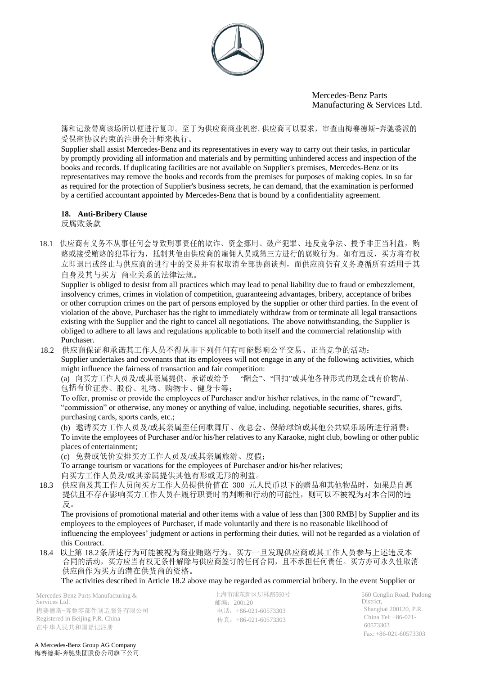

簿和记录带离该场所以便进行复印。至于为供应商商业机密,供应商可以要求,审查由梅赛德斯-奔驰委派的 受保密协议约束的注册会计师来执行。

Supplier shall assist Mercedes-Benz and its representatives in every way to carry out their tasks, in particular by promptly providing all information and materials and by permitting unhindered access and inspection of the books and records. If duplicating facilities are not available on Supplier's premises, Mercedes-Benz or its representatives may remove the books and records from the premises for purposes of making copies. In so far as required for the protection of Supplier's business secrets, he can demand, that the examination is performed by a certified accountant appointed by Mercedes-Benz that is bound by a confidentiality agreement.

# **18. Anti-Bribery Clause**

反腐败条款

18.1 供应商有义务不从事任何会导致刑事责任的欺诈、资金挪用、破产犯罪、违反竞争法、授予非正当利益,贿 赂或接受贿赂的犯罪行为,抵制其他由供应商的雇佣人员或第三方进行的腐败行为。如有违反,买方将有权 立即退出或终止与供应商的进行中的交易并有权取消全部协商谈判,而供应商仍有义务遵循所有适用于其 自身及其与买方 商业关系的法律法规。

Supplier is obliged to desist from all practices which may lead to penal liability due to fraud or embezzlement, insolvency crimes, crimes in violation of competition, guaranteeing advantages, bribery, acceptance of bribes or other corruption crimes on the part of persons employed by the supplier or other third parties. In the event of violation of the above, Purchaser has the right to immediately withdraw from or terminate all legal transactions existing with the Supplier and the right to cancel all negotiations. The above notwithstanding, the Supplier is obliged to adhere to all laws and regulations applicable to both itself and the commercial relationship with Purchaser.

18.2 供应商保证和承诺其工作人员不得从事下列任何有可能影响公平交易、正当竞争的活动: Supplier undertakes and covenants that its employees will not engage in any of the following activities, which might influence the fairness of transaction and fair competition:<br>(a) 向买方工作人员及/或其亲属提供、承诺或给予 "酬金"、"回扣"或其他各种形式的现金或有价物品、

(a) 向买方工作人员及/或其亲属提供、承诺或给予 包括有价证券、股份、礼物、购物卡、健身卡等;

To offer, promise or provide the employees of Purchaser and/or his/her relatives, in the name of "reward", "commission" or otherwise, any money or anything of value, including, negotiable securities, shares, gifts, purchasing cards, sports cards, etc.;

(b) 邀请买方工作人员及/或其亲属至任何歌舞厅、夜总会、保龄球馆或其他公共娱乐场所进行消费; To invite the employees of Purchaser and/or his/her relatives to any Karaoke, night club, bowling or other public places of entertainment;

(c) 免费或低价安排买方工作人员及/或其亲属旅游、度假;

To arrange tourism or vacations for the employees of Purchaser and/or his/her relatives; 向买方工作人员及/或其亲属提供其他有形或无形的利益。

18.3 供应商及其工作人员向买方工作人员提供价值在 300 元人民币以下的赠品和其他物品时, 如果是自愿 提供且不存在影响买方工作人员在履行职责时的判断和行动的可能性,则可以不被视为对本合同的违 反。

The provisions of promotional material and other items with a value of less than [300 RMB] by Supplier and its employees to the employees of Purchaser, if made voluntarily and there is no reasonable likelihood of influencing the employees' judgment or actions in performing their duties, will not be regarded as a violation of this Contract.

18.4 以上第 18.2条所述行为可能被视为商业贿赂行为。买方一旦发现供应商或其工作人员参与上述违反本 合同的活动,买方应当有权无条件解除与供应商签订的任何合同,且不承担任何责任。买方亦可永久性取消 供应商作为买方的潜在供货商的资格。

The activities described in Article 18.2 above may be regarded as commercial bribery. In the event Supplier or

Mercedes-Benz Parts Manufacturing & Services Ltd. 梅赛德斯-奔驰零部件制造服务有限公司 Registered in Beijing P.R. China 在中华人民共和国登记注册

上海市浦东新区层林路560号 邮编:200120 电话:+86-021-60573303 传真:+86-021-60573303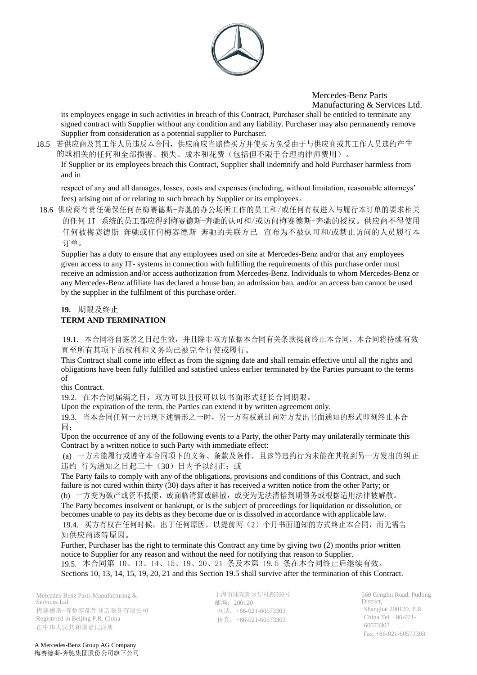

its employees engage in such activities in breach of this Contract, Purchaser shall be entitled to terminate any signed contract with Supplier without any condition and any liability. Purchaser may also permanently remove Supplier from consideration as a potential supplier to Purchaser.

18.5 若供应商及其工作人员违反本合同,供应商应当赔偿买方并使买方免受由于与供应商或其工作人员违约产生 的或相关的任何和全部损害、损失、成本和花费(包括但不限于合理的律师费用)。

If Supplier or its employees breach this Contract, Supplier shall indemnify and hold Purchaser harmless from and in

respect of any and all damages, losses, costs and expenses (including, without limitation, reasonable attorneys' fees) arising out of or relating to such breach by Supplier or its employees。

18.6 供应商有责任确保任何在梅赛德斯-奔驰的办公场所工作的员工和/或任何有权进入与履行本订单的要求相关 的任何 IT 系统的员工都应得到梅赛德斯-奔驰的认可和/或访问梅赛德斯-奔驰的授权。供应商不得使用 任何被梅赛德斯-奔驰或任何梅赛德斯-奔驰的关联方已 宣布为不被认可和/或禁止访问的人员履行本 订单。

Supplier has a duty to ensure that any employees used on site at Mercedes-Benz and/or that any employees given access to any IT- systems in connection with fulfilling the requirements of this purchase order must receive an admission and/or access authorization from Mercedes-Benz. Individuals to whom Mercedes-Benz or any Mercedes-Benz affiliate has declared a house ban, an admission ban, and/or an access ban cannot be used by the supplier in the fulfilment of this purchase order.

#### **19.** 期限及终止

## **TERM AND TERMINATION**

19.1. 本合同将自签署之日起生效,并且除非双方依据本合同有关条款提前终止本合同,本合同将持续有效 直至所有其项下的权利和义务均已被完全行使或履行。

This Contract shall come into effect as from the signing date and shall remain effective until all the rights and obligations have been fully fulfilled and satisfied unless earlier terminated by the Parties pursuant to the terms of

this Contract.

19.2. 在本合同届满之日,双方可以且仅可以以书面形式延长合同期限。

Upon the expiration of the term, the Parties can extend it by written agreement only.

19.3. 当本合同任何一方出现下述情形之一时,另一方有权通过向对方发出书面通知的形式即刻终止本合 同:

Upon the occurrence of any of the following events to a Party, the other Party may unilaterally terminate this Contract by a written notice to such Party with immediate effect:

(a) 一方未能履行或遵守本合同项下的义务、条款及条件,且该等违约行为未能在其收到另一方发出的纠正 违约 行为通知之日起三十(30)日内予以纠正;或

The Party fails to comply with any of the obligations, provisions and conditions of this Contract, and such failure is not cured within thirty (30) days after it has received a written notice from the other Party; or (b) 一方变为破产或资不抵债,或面临清算或解散,或变为无法清偿到期债务或根据适用法律被解散。 The Party becomes insolvent or bankrupt, or is the subject of proceedings for liquidation or dissolution, or becomes unable to pay its debts as they become due or is dissolved in accordance with applicable law. 19.4. 买方有权在任何时候,出于任何原因,以提前两(2)个月书面通知的方式终止本合同,而无需告

知供应商该等原因。

Further, Purchaser has the right to terminate this Contract any time by giving two (2) months prior written notice to Supplier for any reason and without the need for notifying that reason to Supplier. 19.5. 本合同第 10、13、14、15、19、20、21 条及本第 19.5 条在本合同终止后继续有效。 Sections 10, 13, 14, 15, 19, 20, 21 and this Section 19.5 shall survive after the termination of this Contract.

Mercedes-Benz Parts Manufacturing & Services Ltd. 梅赛德斯-奔驰零部件制造服务有限公司 Registered in Beijing P.R. China 在中华人民共和国登记注册

上海市浦东新区层林路560号 邮编:200120 电话:+86-021-60573303 传真:+86-021-60573303

560 Cenglin Road, Pudong District, Shanghai 200120, P.R. China Tel: +86-021- 60573303 Fax:+86-021-60573303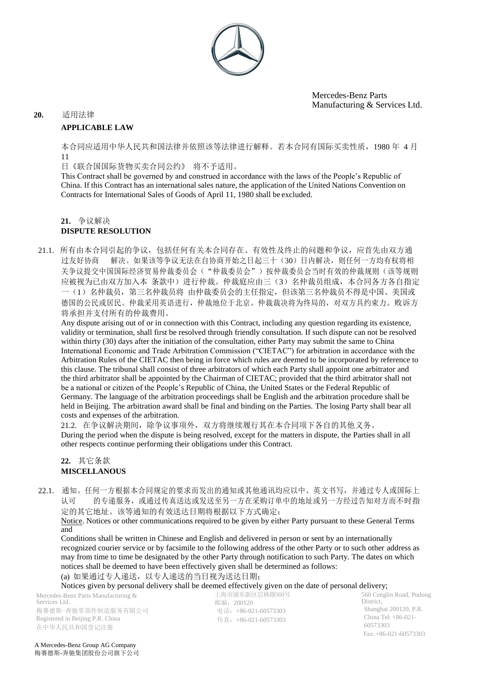

## **20.** 适用法律 **APPLICABLE LAW**

本合同应适用中华人民共和国法律并依照该等法律进行解释。若本合同有国际买卖性质,1980 年 4 月 11

日《联合国国际货物买卖合同公约》 将不予适用。

This Contract shall be governed by and construed in accordance with the laws of the People's Republic of China. If this Contract has an international sales nature, the application of the United Nations Convention on Contracts for International Sales of Goods of April 11, 1980 shall be excluded.

# **21.** 争议解决

## **DISPUTE RESOLUTION**

21.1. 所有由本合同引起的争议,包括任何有关本合同存在、有效性及终止的问题和争议,应首先由双方通 过友好协商 解决。如果该等争议无法在自协商开始之日起三十(30)日内解决,则任何一方均有权将相 关争议提交中国国际经济贸易仲裁委员会("仲裁委员会")按仲裁委员会当时有效的仲裁规则(该等规则 应被视为已由双方加入本 条款中)进行仲裁。仲裁庭应由三(3)名仲裁员组成,本合同各方各自指定 一(1)名仲裁员,第三名仲裁员将 由仲裁委员会的主任指定,但该第三名仲裁员不得是中国、美国或 德国的公民或居民。仲裁采用英语进行,仲裁地位于北京。仲裁裁决将为终局的,对双方具约束力。败诉方 将承担并支付所有的仲裁费用。

Any dispute arising out of or in connection with this Contract, including any question regarding its existence, validity or termination, shall first be resolved through friendly consultation. If such dispute can not be resolved within thirty (30) days after the initiation of the consultation, either Party may submit the same to China International Economic and Trade Arbitration Commission ("CIETAC") for arbitration in accordance with the Arbitration Rules of the CIETAC then being in force which rules are deemed to be incorporated by reference to this clause. The tribunal shall consist of three arbitrators of which each Party shall appoint one arbitrator and the third arbitrator shall be appointed by the Chairman of CIETAC; provided that the third arbitrator shall not be a national or citizen of the People's Republic of China, the United States or the Federal Republic of Germany. The language of the arbitration proceedings shall be English and the arbitration procedure shall be held in Beijing. The arbitration award shall be final and binding on the Parties. The losing Party shall bear all costs and expenses of the arbitration.

21.2. 在争议解决期间,除争议事项外,双方将继续履行其在本合同项下各自的其他义务。 During the period when the dispute is being resolved, except for the matters in dispute, the Parties shall in all other respects continue performing their obligations under this Contract.

## **22.** 其它条款 **MISCELLANOUS**

22.1. 通知。任何一方根据本合同规定的要求而发出的通知或其他通讯均应以中、英文书写,并通过专人或国际上 认可 的专递服务,或通过传真送达或发送至另一方在采购订单中的地址或另一方经过告知对方而不时指 定的其它地址。该等通知的有效送达日期将根据以下方式确定:

Notice. Notices or other communications required to be given by either Party pursuant to these General Terms and

Conditions shall be written in Chinese and English and delivered in person or sent by an internationally recognized courier service or by facsimile to the following address of the other Party or to such other address as may from time to time be designated by the other Party through notification to such Party. The dates on which notices shall be deemed to have been effectively given shall be determined as follows: (a) 如果通过专人递送,以专人递送的当日视为送达日期;

Notices given by personal delivery shall be deemed effectively given on the date of personal delivery;

Mercedes-Benz Parts Manufacturing & Services Ltd. 梅赛德斯-奔驰零部件制造服务有限公司 Registered in Beijing P.R. China 在中华人民共和国登记注册

上海市浦东新区层林路560号 邮编:200120 电话:+86-021-60573303 传真:+86-021-60573303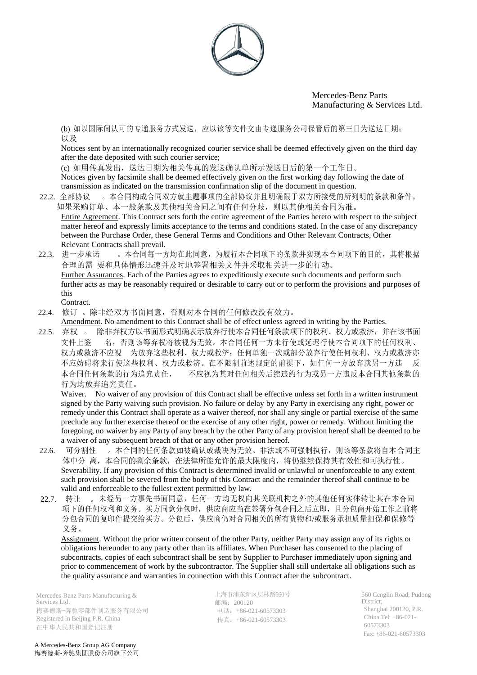

(b) 如以国际间认可的专递服务方式发送,应以该等文件交由专递服务公司保管后的第三日为送达日期; 以及

Notices sent by an internationally recognized courier service shall be deemed effectively given on the third day after the date deposited with such courier service;

(c) 如用传真发出,送达日期为相关传真的发送确认单所示发送日后的第一个工作日。 Notices given by facsimile shall be deemed effectively given on the first working day following the date of transmission as indicated on the transmission confirmation slip of the document in question.

- 22.2. 全部协议 。本合同构成合同双方就主题事项的全部协议并且明确限于双方所接受的所列明的条款和条件。 如果采购订单、本一般条款及其他相关合同之间有任何分歧,则以其他相关合同为准。 Entire Agreement. This Contract sets forth the entire agreement of the Parties hereto with respect to the subject matter hereof and expressly limits acceptance to the terms and conditions stated. In the case of any discrepancy between the Purchase Order, these General Terms and Conditions and Other Relevant Contracts, Other Relevant Contracts shall prevail.
- 22.3. 进一步承诺 。本合同每一方均在此同意,为履行本合同项下的条款并实现本合同项下的目的,其将根据 合理的需 要和具体情形迅速并及时地签署相关文件并采取相关进一步的行动。 Further Assurances. Each of the Parties agrees to expeditiously execute such documents and perform such further acts as may be reasonably required or desirable to carry out or to perform the provisions and purposes of this Contract.
- 22.4. 修订 。除非经双方书面同意,否则对本合同的任何修改没有效力。
- Amendment. No amendment to this Contract shall be of effect unless agreed in writing by the Parties.
- 22.5. 弃权 。 除非弃权方以书面形式明确表示放弃行使本合同任何条款项下的权利、权力或救济,并在该书面 文件上签 名,否则该等弃权将被视为无效。本合同任何一方未行使或延迟行使本合同项下的任何权利、 权力或救济不应视 为放弃这些权利、权力或救济;任何单独一次或部分放弃行使任何权利、权力或救济亦 不应妨碍将来行使这些权利、权力或救济。在不限制前述规定的前提下,如任何一方放弃就另一方违 反 本合同任何条款的行为追究责任, 不应视为其对任何相关后续违约行为或另一方违反本合同其他条款的 行为均放弃追究责任。

Waiver. No waiver of any provision of this Contract shall be effective unless set forth in a written instrument signed by the Party waiving such provision. No failure or delay by any Party in exercising any right, power or remedy under this Contract shall operate as a waiver thereof, nor shall any single or partial exercise of the same preclude any further exercise thereof or the exercise of any other right, power or remedy. Without limiting the foregoing, no waiver by any Party of any breach by the other Party of any provision hereof shall be deemed to be a waiver of any subsequent breach of that or any other provision hereof.

- 22.6. 可分割性 。本合同的任何条款如被确认或裁决为无效、非法或不可强制执行,则该等条款将自本合同主 体中分 离,本合同的剩余条款,在法律所能允许的最大限度内,将仍继续保持其有效性和可执行性。 Severability. If any provision of this Contract is determined invalid or unlawful or unenforceable to any extent such provision shall be severed from the body of this Contract and the remainder thereof shall continue to be valid and enforceable to the fullest extent permitted by law.
- 22.7. 转让 。 未经另一方事先书面同意,任何一方均无权向其关联机构之外的其他任何实体转让其在本合同 项下的任何权利和义务。买方同意分包时,供应商应当在签署分包合同之后立即,且分包商开始工作之前将 分包合同的复印件提交给买方。分包后,供应商仍对合同相关的所有货物和/或服务承担质量担保和保修等 义务。

Assignment. Without the prior written consent of the other Party, neither Party may assign any of its rights or obligations hereunder to any party other than its affiliates. When Purchaser has consented to the placing of subcontracts, copies of each subcontract shall be sent by Supplier to Purchaser immediately upon signing and prior to commencement of work by the subcontractor. The Supplier shall still undertake all obligations such as the quality assurance and warranties in connection with this Contract after the subcontract.

Mercedes-Benz Parts Manufacturing & Services Ltd. 梅赛德斯-奔驰零部件制造服务有限公司 Registered in Beijing P.R. China 在中华人民共和国登记注册

上海市浦东新区层林路560号 邮编:200120 电话:+86-021-60573303 传真:+86-021-60573303

560 Cenglin Road, Pudong District, Shanghai 200120, P.R. China Tel: +86-021- 60573303 Fax:+86-021-60573303